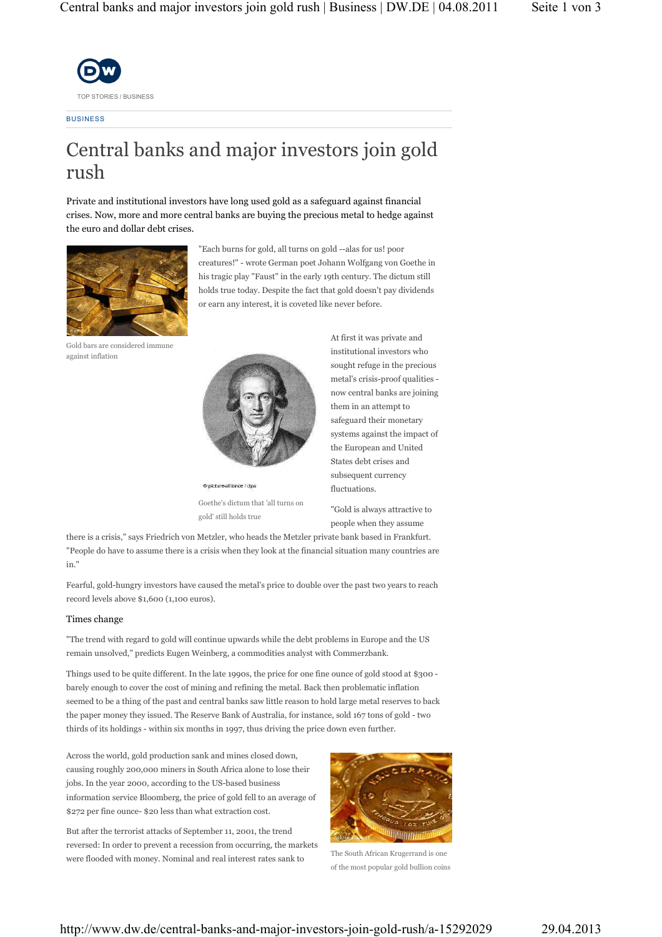

**BUSINESS** 

# Central banks and major investors join gold rush

Private and institutional investors have long used gold as a safeguard against financial crises. Now, more and more central banks are buying the precious metal to hedge against the euro and dollar debt crises.



"Each burns for gold, all turns on gold --alas for us! poor creatures!" - wrote German poet Johann Wolfgang von Goethe in his tragic play "Faust" in the early 19th century. The dictum still holds true today. Despite the fact that gold doesn't pay dividends or earn any interest, it is coveted like never before.

Gold bars are considered immune against inflation



© picture-alliance / dpa Goethe's dictum that 'all turns on gold' still holds true

At first it was private and institutional investors who sought refuge in the precious metal's crisis-proof qualities now central banks are joining them in an attempt to safeguard their monetary systems against the impact of the European and United States debt crises and subsequent currency fluctuations.

"Gold is always attractive to people when they assume

there is a crisis," says Friedrich von Metzler, who heads the Metzler private bank based in Frankfurt. "People do have to assume there is a crisis when they look at the financial situation many countries are in."

Fearful, gold-hungry investors have caused the metal's price to double over the past two years to reach record levels above \$1,600 (1,100 euros).

## Times change

"The trend with regard to gold will continue upwards while the debt problems in Europe and the US remain unsolved," predicts Eugen Weinberg, a commodities analyst with Commerzbank.

Things used to be quite different. In the late 1990s, the price for one fine ounce of gold stood at \$300 barely enough to cover the cost of mining and refining the metal. Back then problematic inflation seemed to be a thing of the past and central banks saw little reason to hold large metal reserves to back the paper money they issued. The Reserve Bank of Australia, for instance, sold 167 tons of gold - two thirds of its holdings - within six months in 1997, thus driving the price down even further.

Across the world, gold production sank and mines closed down, causing roughly 200,000 miners in South Africa alone to lose their jobs. In the year 2000, according to the US-based business information service Bloomberg, the price of gold fell to an average of \$272 per fine ounce- \$20 less than what extraction cost.

But after the terrorist attacks of September 11, 2001, the trend reversed: In order to prevent a recession from occurring, the markets were flooded with money. Nominal and real interest rates sank to



The South African Krugerrand is one of the most popular gold bullion coins

http://www.dw.de/central-banks-and-major-investors-join-gold-rush/a-15292029 29.04.2013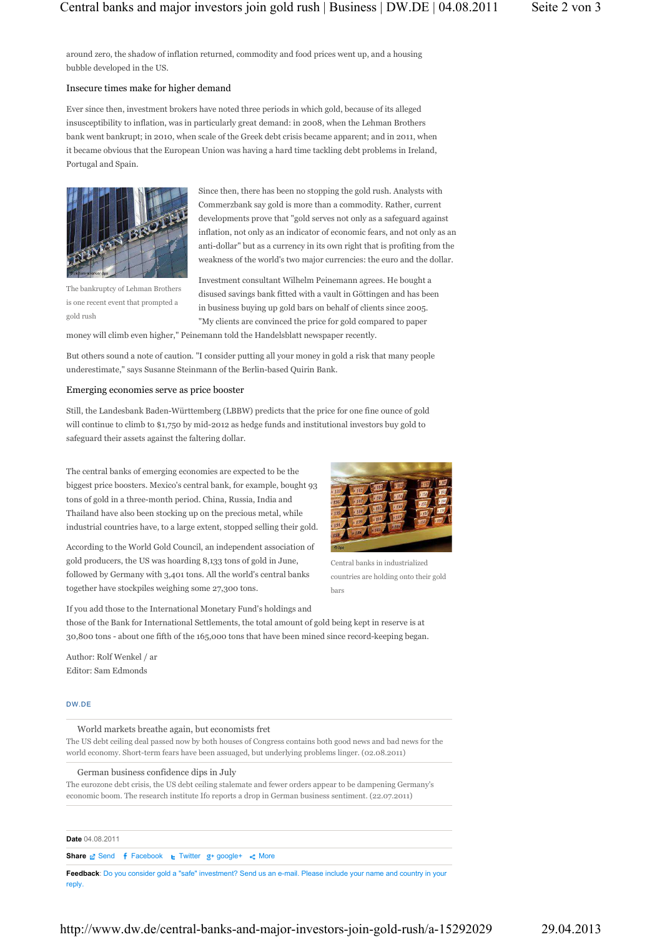around zero, the shadow of inflation returned, commodity and food prices went up, and a housing bubble developed in the US.

### Insecure times make for higher demand

Ever since then, investment brokers have noted three periods in which gold, because of its alleged insusceptibility to inflation, was in particularly great demand: in 2008, when the Lehman Brothers bank went bankrupt; in 2010, when scale of the Greek debt crisis became apparent; and in 2011, when it became obvious that the European Union was having a hard time tackling debt problems in Ireland, Portugal and Spain.



The bankruptcy of Lehman Brothers is one recent event that prompted a gold rush

Since then, there has been no stopping the gold rush. Analysts with Commerzbank say gold is more than a commodity. Rather, current developments prove that "gold serves not only as a safeguard against inflation, not only as an indicator of economic fears, and not only as an anti-dollar" but as a currency in its own right that is profiting from the weakness of the world's two major currencies: the euro and the dollar.

Investment consultant Wilhelm Peinemann agrees. He bought a disused savings bank fitted with a vault in Göttingen and has been in business buying up gold bars on behalf of clients since 2005. "My clients are convinced the price for gold compared to paper

money will climb even higher," Peinemann told the Handelsblatt newspaper recently.

But others sound a note of caution. "I consider putting all your money in gold a risk that many people underestimate," says Susanne Steinmann of the Berlin-based Quirin Bank.

## Emerging economies serve as price booster

Still, the Landesbank Baden-Württemberg (LBBW) predicts that the price for one fine ounce of gold will continue to climb to \$1,750 by mid-2012 as hedge funds and institutional investors buy gold to safeguard their assets against the faltering dollar.

The central banks of emerging economies are expected to be the biggest price boosters. Mexico's central bank, for example, bought 93 tons of gold in a three-month period. China, Russia, India and Thailand have also been stocking up on the precious metal, while industrial countries have, to a large extent, stopped selling their gold.

According to the World Gold Council, an independent association of gold producers, the US was hoarding 8,133 tons of gold in June, followed by Germany with 3,401 tons. All the world's central banks together have stockpiles weighing some 27,300 tons.



Central banks in industrialized countries are holding onto their gold bars

If you add those to the International Monetary Fund's holdings and those of the Bank for International Settlements, the total amount of gold being kept in reserve is at 30,800 tons - about one fifth of the 165,000 tons that have been mined since record-keeping began.

Author: Rolf Wenkel / ar Editor: Sam Edmonds

### DW.DE

World markets breathe again, but economists fret The US debt ceiling deal passed now by both houses of Congress contains both good news and bad news for the world economy. Short-term fears have been assuaged, but underlying problems linger. (02.08.2011)

German business confidence dips in July

The eurozone debt crisis, the US debt ceiling stalemate and fewer orders appear to be dampening Germany's economic boom. The research institute Ifo reports a drop in German business sentiment. (22.07.2011)

**Date** 04.08.2011

#### **Share S**end **f** Facebook **E** Twitter  $g$ <sup>+</sup> google+ < More

**Feedback**: Do you consider gold a "safe" investment? Send us an e-mail. Please include your name and country in your reply.

http://www.dw.de/central-banks-and-major-investors-join-gold-rush/a-15292029 29.04.2013